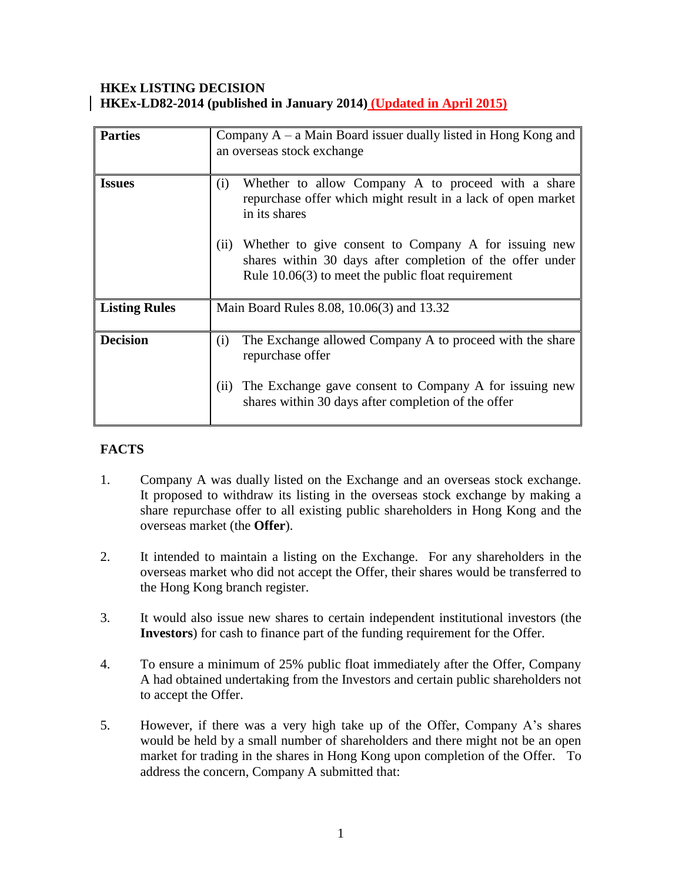### **HKEx LISTING DECISION HKEx-LD82-2014 (published in January 2014) (Updated in April 2015)**

| <b>Parties</b>       | Company $A - a$ Main Board issuer dually listed in Hong Kong and<br>an overseas stock exchange                                                                                    |
|----------------------|-----------------------------------------------------------------------------------------------------------------------------------------------------------------------------------|
| <b>Issues</b>        | Whether to allow Company A to proceed with a share<br>(i)<br>repurchase offer which might result in a lack of open market<br>in its shares                                        |
|                      | Whether to give consent to Company A for issuing new<br>(ii)<br>shares within 30 days after completion of the offer under<br>Rule $10.06(3)$ to meet the public float requirement |
| <b>Listing Rules</b> | Main Board Rules 8.08, 10.06(3) and 13.32                                                                                                                                         |
| <b>Decision</b>      | The Exchange allowed Company A to proceed with the share<br>(i)<br>repurchase offer                                                                                               |
|                      | The Exchange gave consent to Company A for issuing new<br>(i)<br>shares within 30 days after completion of the offer                                                              |

# **FACTS**

- 1. Company A was dually listed on the Exchange and an overseas stock exchange. It proposed to withdraw its listing in the overseas stock exchange by making a share repurchase offer to all existing public shareholders in Hong Kong and the overseas market (the **Offer**).
- 2. It intended to maintain a listing on the Exchange. For any shareholders in the overseas market who did not accept the Offer, their shares would be transferred to the Hong Kong branch register.
- 3. It would also issue new shares to certain independent institutional investors (the **Investors**) for cash to finance part of the funding requirement for the Offer.
- 4. To ensure a minimum of 25% public float immediately after the Offer, Company A had obtained undertaking from the Investors and certain public shareholders not to accept the Offer.
- 5. However, if there was a very high take up of the Offer, Company A's shares would be held by a small number of shareholders and there might not be an open market for trading in the shares in Hong Kong upon completion of the Offer. To address the concern, Company A submitted that: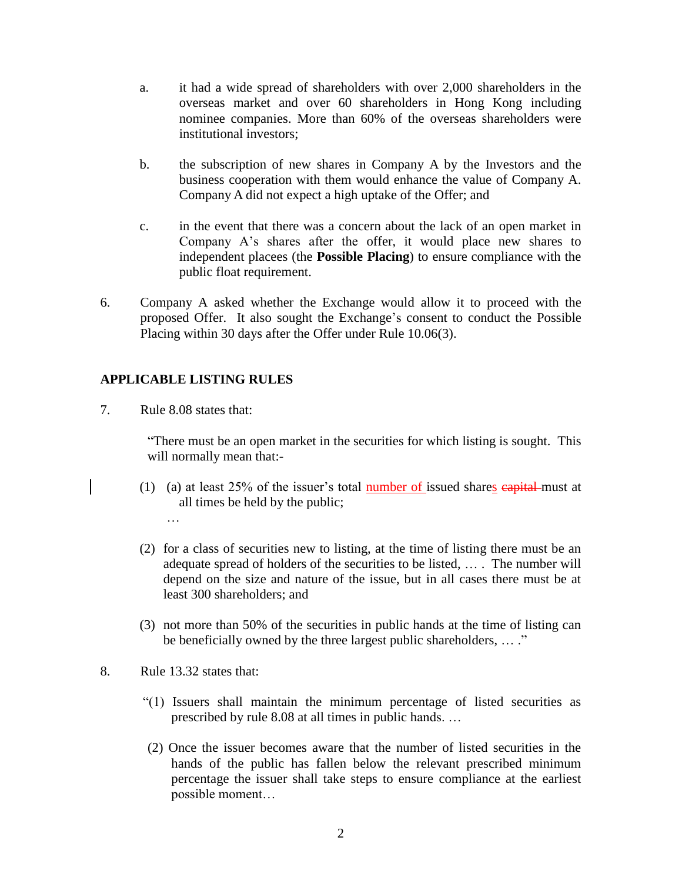- a. it had a wide spread of shareholders with over 2,000 shareholders in the overseas market and over 60 shareholders in Hong Kong including nominee companies. More than 60% of the overseas shareholders were institutional investors;
- b. the subscription of new shares in Company A by the Investors and the business cooperation with them would enhance the value of Company A. Company A did not expect a high uptake of the Offer; and
- c. in the event that there was a concern about the lack of an open market in Company A's shares after the offer, it would place new shares to independent placees (the **Possible Placing**) to ensure compliance with the public float requirement.
- 6. Company A asked whether the Exchange would allow it to proceed with the proposed Offer. It also sought the Exchange's consent to conduct the Possible Placing within 30 days after the Offer under Rule 10.06(3).

## **APPLICABLE LISTING RULES**

7. Rule 8.08 states that:

…

"There must be an open market in the securities for which listing is sought. This will normally mean that:-

- (1) (a) at least  $25\%$  of the issuer's total number of issued shares capital must at all times be held by the public;
- (2) for a class of securities new to listing, at the time of listing there must be an adequate spread of holders of the securities to be listed, … . The number will depend on the size and nature of the issue, but in all cases there must be at least 300 shareholders; and
- (3) not more than 50% of the securities in public hands at the time of listing can be beneficially owned by the three largest public shareholders, … ."
- 8. Rule 13.32 states that:
	- "(1) Issuers shall maintain the minimum percentage of listed securities as prescribed by rule 8.08 at all times in public hands. …
	- (2) Once the issuer becomes aware that the number of listed securities in the hands of the public has fallen below the relevant prescribed minimum percentage the issuer shall take steps to ensure compliance at the earliest possible moment…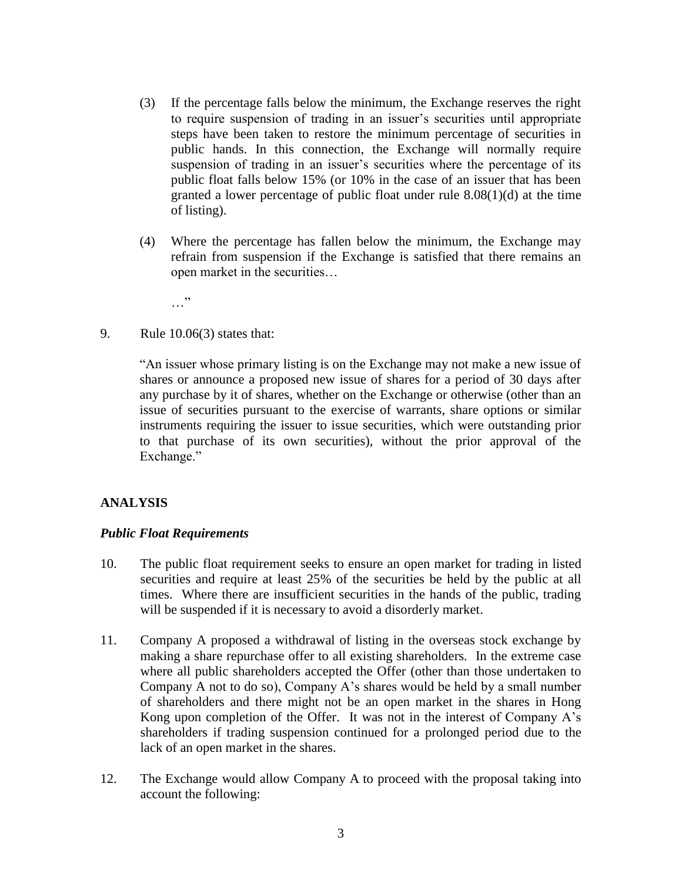- (3) If the percentage falls below the minimum, the Exchange reserves the right to require suspension of trading in an issuer's securities until appropriate steps have been taken to restore the minimum percentage of securities in public hands. In this connection, the Exchange will normally require suspension of trading in an issuer's securities where the percentage of its public float falls below 15% (or 10% in the case of an issuer that has been granted a lower percentage of public float under rule 8.08(1)(d) at the time of listing).
- (4) Where the percentage has fallen below the minimum, the Exchange may refrain from suspension if the Exchange is satisfied that there remains an open market in the securities…

…"

9. Rule 10.06(3) states that:

"An issuer whose primary listing is on the Exchange may not make a new issue of shares or announce a proposed new issue of shares for a period of 30 days after any purchase by it of shares, whether on the Exchange or otherwise (other than an issue of securities pursuant to the exercise of warrants, share options or similar instruments requiring the issuer to issue securities, which were outstanding prior to that purchase of its own securities), without the prior approval of the Exchange."

### **ANALYSIS**

#### *Public Float Requirements*

- 10. The public float requirement seeks to ensure an open market for trading in listed securities and require at least 25% of the securities be held by the public at all times. Where there are insufficient securities in the hands of the public, trading will be suspended if it is necessary to avoid a disorderly market.
- 11. Company A proposed a withdrawal of listing in the overseas stock exchange by making a share repurchase offer to all existing shareholders. In the extreme case where all public shareholders accepted the Offer (other than those undertaken to Company A not to do so), Company A's shares would be held by a small number of shareholders and there might not be an open market in the shares in Hong Kong upon completion of the Offer. It was not in the interest of Company A's shareholders if trading suspension continued for a prolonged period due to the lack of an open market in the shares.
- 12. The Exchange would allow Company A to proceed with the proposal taking into account the following: